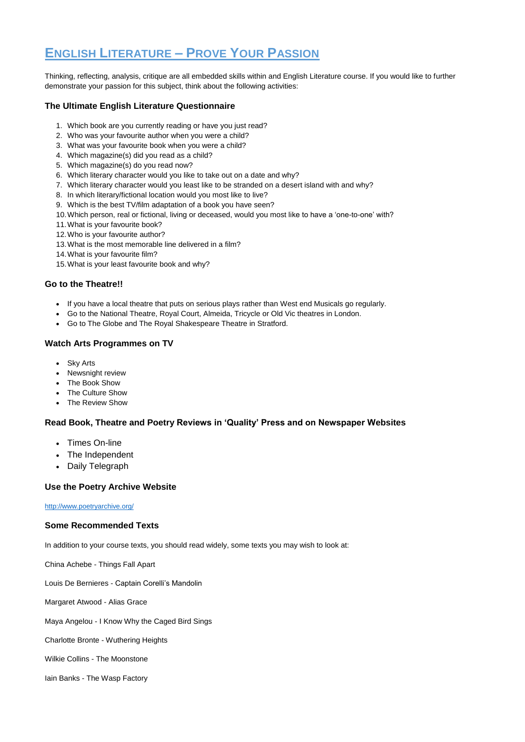# **ENGLISH LITERATURE – PROVE YOUR PASSION**

Thinking, reflecting, analysis, critique are all embedded skills within and English Literature course. If you would like to further demonstrate your passion for this subject, think about the following activities:

### **The Ultimate English Literature Questionnaire**

- 1. Which book are you currently reading or have you just read?
- 2. Who was your favourite author when you were a child?
- 3. What was your favourite book when you were a child?
- 4. Which magazine(s) did you read as a child?
- 5. Which magazine(s) do you read now?
- 6. Which literary character would you like to take out on a date and why?
- 7. Which literary character would you least like to be stranded on a desert island with and why?
- 8. In which literary/fictional location would you most like to live?
- 9. Which is the best TV/film adaptation of a book you have seen?
- 10.Which person, real or fictional, living or deceased, would you most like to have a 'one-to-one' with?
- 11.What is your favourite book?
- 12.Who is your favourite author?
- 13.What is the most memorable line delivered in a film?
- 14.What is your favourite film?
- 15.What is your least favourite book and why?

- Times On-line
- The Independent
- Daily Telegraph

## **Go to the Theatre!!**

- If you have a local theatre that puts on serious plays rather than West end Musicals go regularly.
- Go to the National Theatre, Royal Court, Almeida, Tricycle or Old Vic theatres in London.
- Go to The Globe and The Royal Shakespeare Theatre in Stratford.

#### **Watch Arts Programmes on TV**

- Sky Arts
- Newsnight review
- The Book Show
- The Culture Show
- The Review Show

### **Read Book, Theatre and Poetry Reviews in 'Quality' Press and on Newspaper Websites**

### **Use the Poetry Archive Website**

#### <http://www.poetryarchive.org/>

### **Some Recommended Texts**

In addition to your course texts, you should read widely, some texts you may wish to look at:

China Achebe - Things Fall Apart

Louis De Bernieres - Captain Corelli's Mandolin

Margaret Atwood - Alias Grace

Maya Angelou - I Know Why the Caged Bird Sings

Charlotte Bronte - Wuthering Heights

Wilkie Collins - The Moonstone

Iain Banks - The Wasp Factory